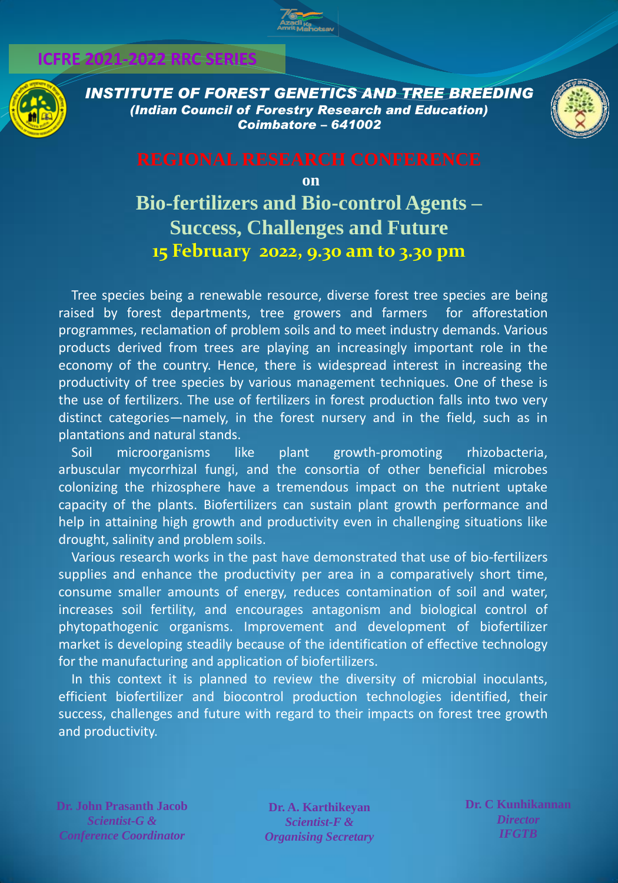### **ICFRE 2021-2022 RRC SERIES**



*INSTITUTE OF FOREST GENETICS AND TREE BREEDING (Indian Council of Forestry Research and Education) Coimbatore – 641002*



**on**

# **Bio-fertilizers and Bio-control Agents – Success, Challenges and Future 15 February 2022, 9.30 am to 3.30 pm**

Tree species being a renewable resource, diverse forest tree species are being raised by forest departments, tree growers and farmers for afforestation programmes, reclamation of problem soils and to meet industry demands. Various products derived from trees are playing an increasingly important role in the economy of the country. Hence, there is widespread interest in increasing the productivity of tree species by various management techniques. One of these is the use of fertilizers. The use of fertilizers in forest production falls into two very distinct categories—namely, in the forest nursery and in the field, such as in plantations and natural stands.

Soil microorganisms like plant growth-promoting rhizobacteria, arbuscular mycorrhizal fungi, and the consortia of other beneficial microbes colonizing the rhizosphere have a tremendous impact on the nutrient uptake capacity of the plants. Biofertilizers can sustain plant growth performance and help in attaining high growth and productivity even in challenging situations like drought, salinity and problem soils.

Various research works in the past have demonstrated that use of bio-fertilizers supplies and enhance the productivity per area in a comparatively short time, consume smaller amounts of energy, reduces contamination of soil and water, increases soil fertility, and encourages antagonism and biological control of phytopathogenic organisms. Improvement and development of biofertilizer market is developing steadily because of the identification of effective technology for the manufacturing and application of biofertilizers.

In this context it is planned to review the diversity of microbial inoculants, efficient biofertilizer and biocontrol production technologies identified, their success, challenges and future with regard to their impacts on forest tree growth and productivity.

**Dr. John Prasanth Jacob**  *Scientist-G & Conference Coordinator*

**Dr. A. Karthikeyan** *Scientist-F & Organising Secretary* **Dr. C Kunhikannan** *Director IFGTB*